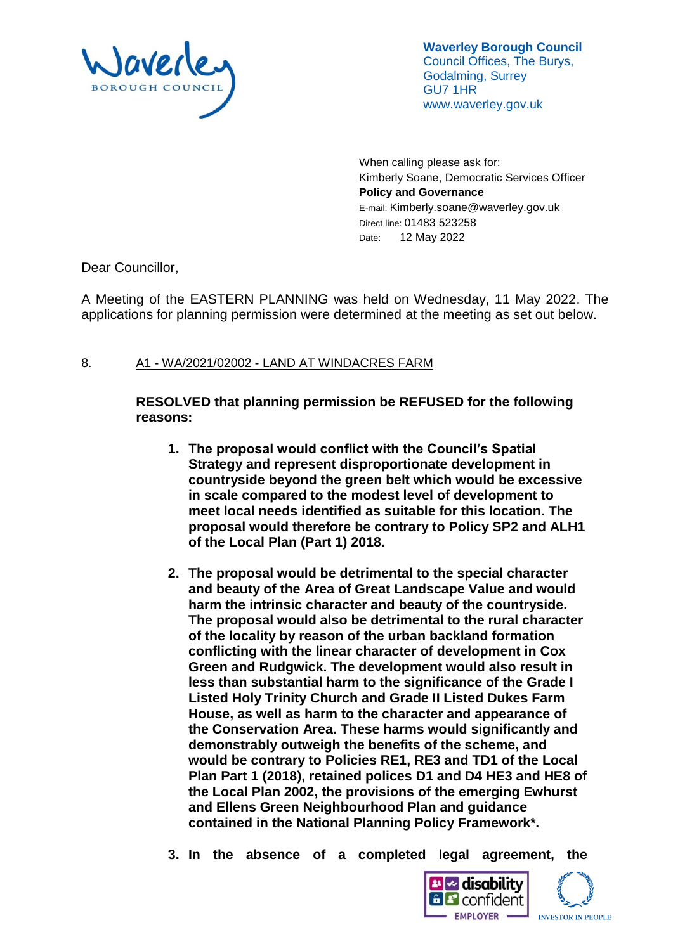

**Waverley Borough Council** Council Offices, The Burys, Godalming, Surrey GU7 1HR www.waverley.gov.uk

When calling please ask for: Kimberly Soane, Democratic Services Officer **Policy and Governance** E-mail: Kimberly.soane@waverley.gov.uk Direct line: 01483 523258 Date: 12 May 2022

Dear Councillor,

A Meeting of the EASTERN PLANNING was held on Wednesday, 11 May 2022. The applications for planning permission were determined at the meeting as set out below.

## 8. A1 - WA/2021/02002 - LAND AT WINDACRES FARM

**RESOLVED that planning permission be REFUSED for the following reasons:**

- **1. The proposal would conflict with the Council's Spatial Strategy and represent disproportionate development in countryside beyond the green belt which would be excessive in scale compared to the modest level of development to meet local needs identified as suitable for this location. The proposal would therefore be contrary to Policy SP2 and ALH1 of the Local Plan (Part 1) 2018.**
- **2. The proposal would be detrimental to the special character and beauty of the Area of Great Landscape Value and would harm the intrinsic character and beauty of the countryside. The proposal would also be detrimental to the rural character of the locality by reason of the urban backland formation conflicting with the linear character of development in Cox Green and Rudgwick. The development would also result in less than substantial harm to the significance of the Grade I Listed Holy Trinity Church and Grade II Listed Dukes Farm House, as well as harm to the character and appearance of the Conservation Area. These harms would significantly and demonstrably outweigh the benefits of the scheme, and would be contrary to Policies RE1, RE3 and TD1 of the Local Plan Part 1 (2018), retained polices D1 and D4 HE3 and HE8 of the Local Plan 2002, the provisions of the emerging Ewhurst and Ellens Green Neighbourhood Plan and guidance contained in the National Planning Policy Framework\*.**

**3. In the absence of a completed legal agreement, the**